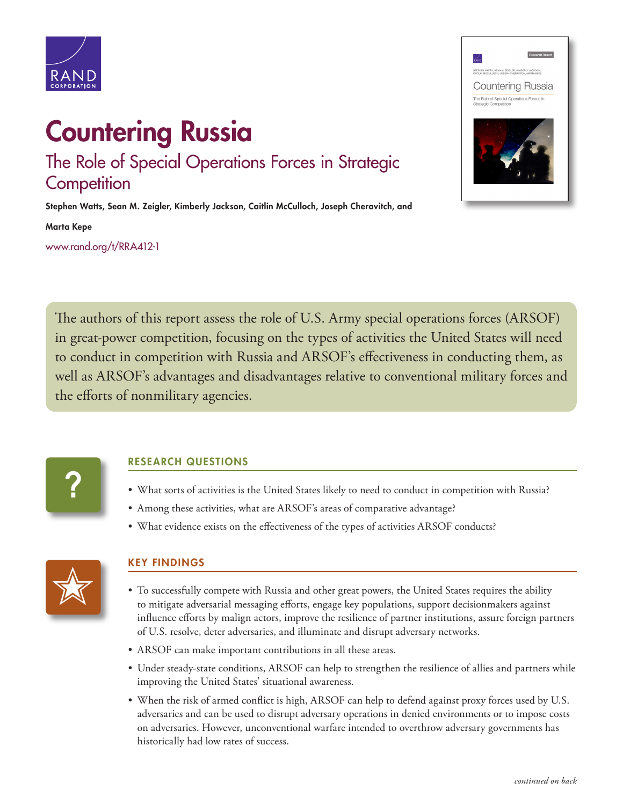

## Countering Russia The Role of Special Operations Forces in Strategic **Competition**

Stephen Watts, Sean M. Zeigler, Kimberly Jackson, Caitlin McCulloch, Joseph Cheravitch, and

Marta Kepe

[www.rand.org/t/RRA412-1](http://www.rand.org/t/RRA412-1)



The authors of this report assess the role of U.S. Army special operations forces (ARSOF) in great-power competition, focusing on the types of activities the United States will need to conduct in competition with Russia and ARSOF's effectiveness in conducting them, as well as ARSOF's advantages and disadvantages relative to conventional military forces and the efforts of nonmilitary agencies.



## RESEARCH QUESTIONS

- What sorts of activities is the United States likely to need to conduct in competition with Russia?
- Among these activities, what are ARSOF's areas of comparative advantage?
- What evidence exists on the effectiveness of the types of activities ARSOF conducts?



## KEY FINDINGS

- To successfully compete with Russia and other great powers, the United States requires the ability to mitigate adversarial messaging efforts, engage key populations, support decisionmakers against influence efforts by malign actors, improve the resilience of partner institutions, assure foreign partners of U.S. resolve, deter adversaries, and illuminate and disrupt adversary networks.
- ARSOF can make important contributions in all these areas.
- Under steady-state conditions, ARSOF can help to strengthen the resilience of allies and partners while improving the United States' situational awareness.
- When the risk of armed conflict is high, ARSOF can help to defend against proxy forces used by U.S. adversaries and can be used to disrupt adversary operations in denied environments or to impose costs on adversaries. However, unconventional warfare intended to overthrow adversary governments has historically had low rates of success.